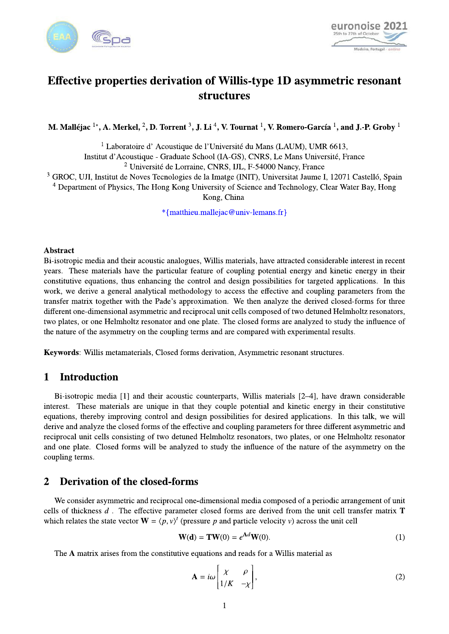



# Effective properties derivation of Willis-type 1D asymmetric resonant **structures**

M. Malléjac<sup>1\*</sup>, A. Merkel, <sup>2</sup>, D. Torrent <sup>3</sup>, J. Li<sup>4</sup>, V. Tournat <sup>1</sup>, V. Romero-García<sup>1</sup>, and J.-P. Groby <sup>1</sup>

<sup>1</sup> Laboratoire d'Acoustique de l'Université du Mans (LAUM), UMR 6613, Institut d'Acoustique - Graduate School (IA-GS), CNRS, Le Mans Université, France

<sup>2</sup> Université de Lorraine, CNRS, IJL, F-54000 Nancy, France

<sup>3</sup> GROC, UJI, Institut de Noves Tecnologies de la Imatge (INIT), Universitat Jaume I, 12071 Castelló, Spain

<sup>4</sup> Department of Physics, The Hong Kong University of Science and Technology, Clear Water Bay, Hong Kong, China

\*{matthieu.mallejac@univ-lemans.fr}

### **Abstract**

Bi-isotropic media and their acoustic analogues, Willis materials, have attracted considerable interest in recent years. These materials have the particular feature of coupling potential energy and kinetic energy in their constitutive equations, thus enhancing the control and design possibilities for targeted applications. In this work, we derive a general analytical methodology to access the effective and coupling parameters from the transfer matrix together with the Pade's approximation. We then analyze the derived closed-forms for three different one-dimensional asymmetric and reciprocal unit cells composed of two detuned Helmholtz resonators, two plates, or one Helmholtz resonator and one plate. The closed forms are analyzed to study the influence of the nature of the asymmetry on the coupling terms and are compared with experimental results.

Keywords: Willis metamaterials, Closed forms derivation, Asymmetric resonant structures.

#### $\mathbf{1}$ **Introduction**

Bi-isotropic media [1] and their acoustic counterparts, Willis materials [2–4], have drawn considerable interest. These materials are unique in that they couple potential and kinetic energy in their constitutive equations, thereby improving control and design possibilities for desired applications. In this talk, we will derive and analyze the closed forms of the effective and coupling parameters for three different asymmetric and reciprocal unit cells consisting of two detuned Helmholtz resonators, two plates, or one Helmholtz resonator and one plate. Closed forms will be analyzed to study the influence of the nature of the asymmetry on the coupling terms.

#### **Derivation of the closed-forms**  $\overline{2}$

We consider asymmetric and reciprocal one-dimensional media composed of a periodic arrangement of unit cells of thickness  $d$ . The effective parameter closed forms are derived from the unit cell transfer matrix  $T$ which relates the state vector  $\mathbf{W} = \langle p, v \rangle^t$  (pressure p and particle velocity v) across the unit cell

$$
\mathbf{W}(\mathbf{d}) = \mathbf{T}\mathbf{W}(0) = e^{\mathbf{A}d}\mathbf{W}(0). \tag{1}
$$

The A matrix arises from the constitutive equations and reads for a Willis material as

$$
\mathbf{A} = i\omega \begin{bmatrix} \chi & \rho \\ 1/K & -\chi \end{bmatrix},\tag{2}
$$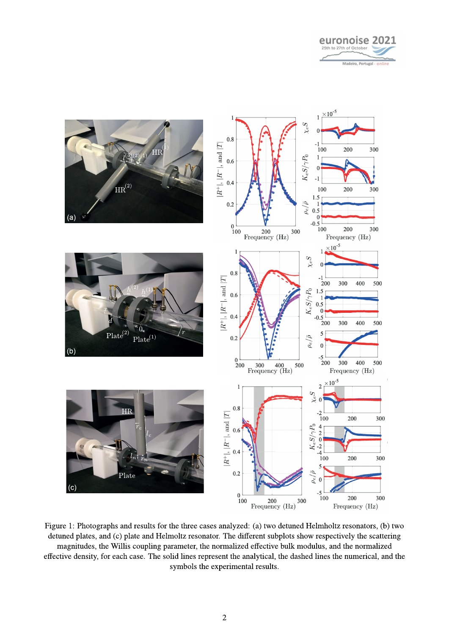



Figure 1: Photographs and results for the three cases analyzed: (a) two detuned Helmholtz resonators, (b) two detuned plates, and (c) plate and Helmoltz resonator. The different subplots show respectively the scattering magnitudes, the Willis coupling parameter, the normalized effective bulk modulus, and the normalized effective density, for each case. The solid lines represent the analytical, the dashed lines the numerical, and the symbols the experimental results.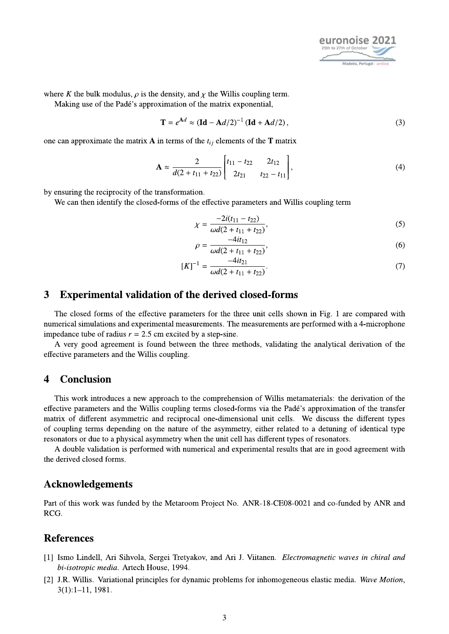

where K the bulk modulus,  $\rho$  is the density, and  $\chi$  the Willis coupling term.

Making use of the Padé's approximation of the matrix exponential,

$$
\mathbf{T} = e^{\mathbf{A}d} \approx (\mathbf{Id} - \mathbf{A}d/2)^{-1} (\mathbf{Id} + \mathbf{A}d/2),
$$
 (3)

one can approximate the matrix **A** in terms of the  $t_{ij}$  elements of the **T** matrix

$$
\mathbf{A} \approx \frac{2}{d(2+t_{11}+t_{22})} \begin{bmatrix} t_{11}-t_{22} & 2t_{12} \\ 2t_{21} & t_{22}-t_{11} \end{bmatrix},
$$
(4)

by ensuring the reciprocity of the transformation.

We can then identify the closed-forms of the effective parameters and Willis coupling term

$$
\chi = \frac{-2i(t_{11} - t_{22})}{\omega d(2 + t_{11} + t_{22})},\tag{5}
$$

$$
\rho = \frac{-4it_{12}}{\omega d(2+t_{11}+t_{22})},\tag{6}
$$

$$
[K]^{-1} = \frac{-4it_{21}}{\omega d(2 + t_{11} + t_{22})}.\tag{7}
$$

#### **Experimental validation of the derived closed-forms**  $\overline{\mathbf{3}}$

The closed forms of the effective parameters for the three unit cells shown in Fig. 1 are compared with numerical simulations and experimental measurements. The measurements are performed with a 4-microphone impedance tube of radius  $r = 2.5$  cm excited by a step-sine.

A very good agreement is found between the three methods, validating the analytical derivation of the effective parameters and the Willis coupling.

#### **Conclusion**  $\boldsymbol{\Delta}$

This work introduces a new approach to the comprehension of Willis metamaterials: the derivation of the effective parameters and the Willis coupling terms closed-forms via the Padé's approximation of the transfer matrix of different asymmetric and reciprocal one-dimensional unit cells. We discuss the different types of coupling terms depending on the nature of the asymmetry, either related to a detuning of identical type resonators or due to a physical asymmetry when the unit cell has different types of resonators.

A double validation is performed with numerical and experimental results that are in good agreement with the derived closed forms.

## **Acknowledgements**

Part of this work was funded by the Metaroom Project No. ANR-18-CE08-0021 and co-funded by ANR and RCG.

## **References**

- [1] Ismo Lindell, Ari Sihvola, Sergei Tretyakov, and Ari J. Viitanen. Electromagnetic waves in chiral and bi-isotropic media. Artech House, 1994.
- [2] J.R. Willis. Variational principles for dynamic problems for inhomogeneous elastic media. Wave Motion,  $3(1):1-11$ , 1981.